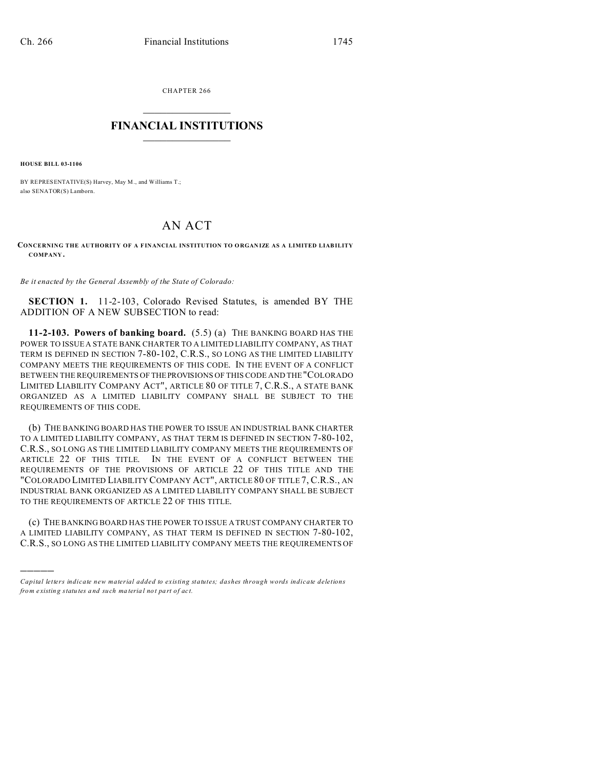CHAPTER 266  $\overline{\phantom{a}}$  , where  $\overline{\phantom{a}}$ 

## **FINANCIAL INSTITUTIONS**  $\frac{1}{2}$  ,  $\frac{1}{2}$  ,  $\frac{1}{2}$  ,  $\frac{1}{2}$  ,  $\frac{1}{2}$  ,  $\frac{1}{2}$  ,  $\frac{1}{2}$

**HOUSE BILL 03-1106**

)))))

BY REPRESENTATIVE(S) Harvey, May M., and Williams T.; also SENATOR(S) Lamborn.

## AN ACT

## CONCERNING THE AUTHORITY OF A FINANCIAL INSTITUTION TO ORGANIZE AS A LIMITED LIABILITY **COMPANY .**

*Be it enacted by the General Assembly of the State of Colorado:*

**SECTION 1.** 11-2-103, Colorado Revised Statutes, is amended BY THE ADDITION OF A NEW SUBSECTION to read:

**11-2-103. Powers of banking board.** (5.5) (a) THE BANKING BOARD HAS THE POWER TO ISSUE A STATE BANK CHARTER TO A LIMITED LIABILITY COMPANY, AS THAT TERM IS DEFINED IN SECTION 7-80-102, C.R.S., SO LONG AS THE LIMITED LIABILITY COMPANY MEETS THE REQUIREMENTS OF THIS CODE. IN THE EVENT OF A CONFLICT BETWEEN THE REQUIREMENTS OF THEPROVISIONS OF THIS CODE AND THE "COLORADO LIMITED LIABILITY COMPANY ACT", ARTICLE 80 OF TITLE 7, C.R.S., A STATE BANK ORGANIZED AS A LIMITED LIABILITY COMPANY SHALL BE SUBJECT TO THE REQUIREMENTS OF THIS CODE.

(b) THE BANKING BOARD HAS THE POWER TO ISSUE AN INDUSTRIAL BANK CHARTER TO A LIMITED LIABILITY COMPANY, AS THAT TERM IS DEFINED IN SECTION 7-80-102, C.R.S., SO LONG AS THE LIMITED LIABILITY COMPANY MEETS THE REQUIREMENTS OF ARTICLE 22 OF THIS TITLE. IN THE EVENT OF A CONFLICT BETWEEN THE REQUIREMENTS OF THE PROVISIONS OF ARTICLE 22 OF THIS TITLE AND THE "COLORADO LIMITED LIABILITY COMPANY ACT", ARTICLE 80 OF TITLE 7, C.R.S., AN INDUSTRIAL BANK ORGANIZED AS A LIMITED LIABILITY COMPANY SHALL BE SUBJECT TO THE REQUIREMENTS OF ARTICLE 22 OF THIS TITLE.

(c) THE BANKING BOARD HAS THE POWER TO ISSUE A TRUST COMPANY CHARTER TO A LIMITED LIABILITY COMPANY, AS THAT TERM IS DEFINED IN SECTION 7-80-102, C.R.S., SO LONG AS THE LIMITED LIABILITY COMPANY MEETS THE REQUIREMENTS OF

*Capital letters indicate new material added to existing statutes; dashes through words indicate deletions from e xistin g statu tes a nd such ma teria l no t pa rt of ac t.*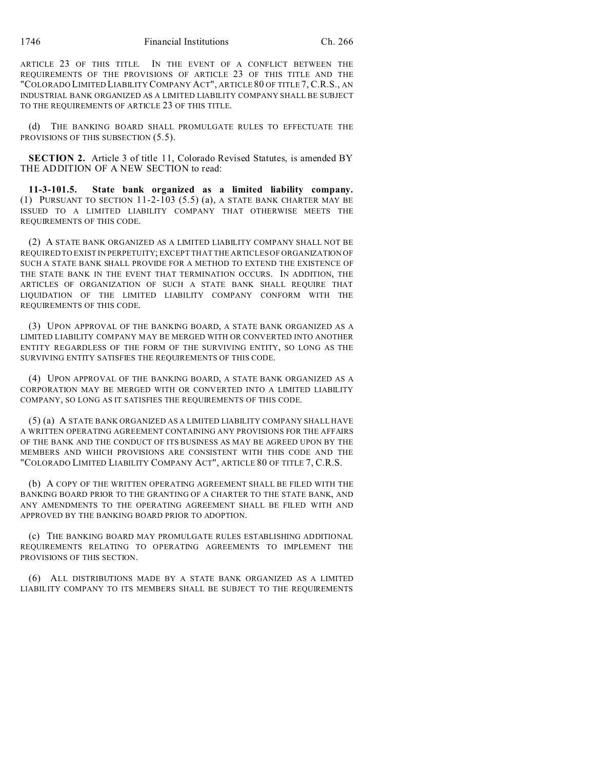ARTICLE 23 OF THIS TITLE. IN THE EVENT OF A CONFLICT BETWEEN THE REQUIREMENTS OF THE PROVISIONS OF ARTICLE 23 OF THIS TITLE AND THE "COLORADO LIMITED LIABILITY COMPANY ACT", ARTICLE 80 OF TITLE 7, C.R.S., AN INDUSTRIAL BANK ORGANIZED AS A LIMITED LIABILITY COMPANY SHALL BE SUBJECT TO THE REQUIREMENTS OF ARTICLE 23 OF THIS TITLE.

(d) THE BANKING BOARD SHALL PROMULGATE RULES TO EFFECTUATE THE PROVISIONS OF THIS SUBSECTION (5.5).

**SECTION 2.** Article 3 of title 11, Colorado Revised Statutes, is amended BY THE ADDITION OF A NEW SECTION to read:

**11-3-101.5. State bank organized as a limited liability company.** (1) PURSUANT TO SECTION 11-2-103 (5.5) (a), A STATE BANK CHARTER MAY BE ISSUED TO A LIMITED LIABILITY COMPANY THAT OTHERWISE MEETS THE REQUIREMENTS OF THIS CODE.

(2) A STATE BANK ORGANIZED AS A LIMITED LIABILITY COMPANY SHALL NOT BE REQUIRED TO EXIST IN PERPETUITY; EXCEPT THAT THE ARTICLES OF ORGANIZATION OF SUCH A STATE BANK SHALL PROVIDE FOR A METHOD TO EXTEND THE EXISTENCE OF THE STATE BANK IN THE EVENT THAT TERMINATION OCCURS. IN ADDITION, THE ARTICLES OF ORGANIZATION OF SUCH A STATE BANK SHALL REQUIRE THAT LIQUIDATION OF THE LIMITED LIABILITY COMPANY CONFORM WITH THE REQUIREMENTS OF THIS CODE.

(3) UPON APPROVAL OF THE BANKING BOARD, A STATE BANK ORGANIZED AS A LIMITED LIABILITY COMPANY MAY BE MERGED WITH OR CONVERTED INTO ANOTHER ENTITY REGARDLESS OF THE FORM OF THE SURVIVING ENTITY, SO LONG AS THE SURVIVING ENTITY SATISFIES THE REQUIREMENTS OF THIS CODE.

(4) UPON APPROVAL OF THE BANKING BOARD, A STATE BANK ORGANIZED AS A CORPORATION MAY BE MERGED WITH OR CONVERTED INTO A LIMITED LIABILITY COMPANY, SO LONG AS IT SATISFIES THE REQUIREMENTS OF THIS CODE.

(5) (a) A STATE BANK ORGANIZED AS A LIMITED LIABILITY COMPANY SHALL HAVE A WRITTEN OPERATING AGREEMENT CONTAINING ANY PROVISIONS FOR THE AFFAIRS OF THE BANK AND THE CONDUCT OF ITS BUSINESS AS MAY BE AGREED UPON BY THE MEMBERS AND WHICH PROVISIONS ARE CONSISTENT WITH THIS CODE AND THE "COLORADO LIMITED LIABILITY COMPANY ACT", ARTICLE 80 OF TITLE 7, C.R.S.

(b) A COPY OF THE WRITTEN OPERATING AGREEMENT SHALL BE FILED WITH THE BANKING BOARD PRIOR TO THE GRANTING OF A CHARTER TO THE STATE BANK, AND ANY AMENDMENTS TO THE OPERATING AGREEMENT SHALL BE FILED WITH AND APPROVED BY THE BANKING BOARD PRIOR TO ADOPTION.

(c) THE BANKING BOARD MAY PROMULGATE RULES ESTABLISHING ADDITIONAL REQUIREMENTS RELATING TO OPERATING AGREEMENTS TO IMPLEMENT THE PROVISIONS OF THIS SECTION.

(6) ALL DISTRIBUTIONS MADE BY A STATE BANK ORGANIZED AS A LIMITED LIABILITY COMPANY TO ITS MEMBERS SHALL BE SUBJECT TO THE REQUIREMENTS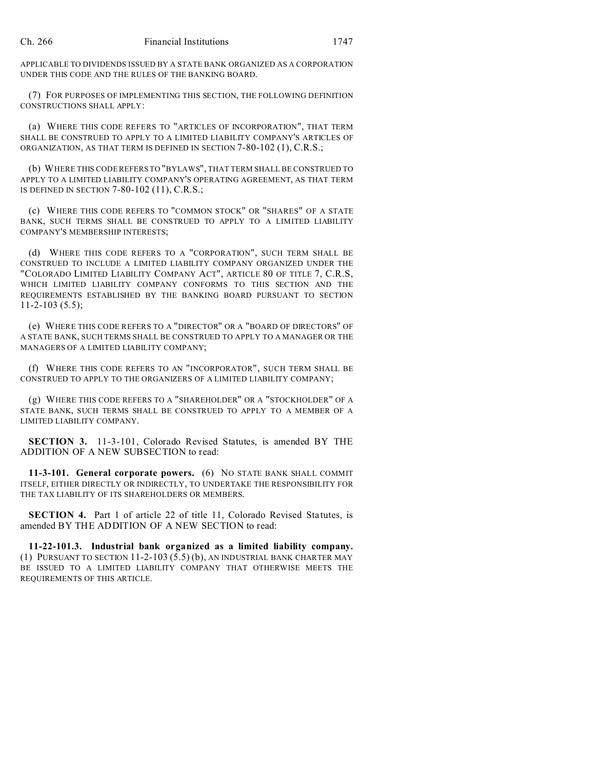APPLICABLE TO DIVIDENDS ISSUED BY A STATE BANK ORGANIZED AS A CORPORATION UNDER THIS CODE AND THE RULES OF THE BANKING BOARD.

(7) FOR PURPOSES OF IMPLEMENTING THIS SECTION, THE FOLLOWING DEFINITION CONSTRUCTIONS SHALL APPLY:

(a) WHERE THIS CODE REFERS TO "ARTICLES OF INCORPORATION", THAT TERM SHALL BE CONSTRUED TO APPLY TO A LIMITED LIABILITY COMPANY'S ARTICLES OF ORGANIZATION, AS THAT TERM IS DEFINED IN SECTION 7-80-102 (1), C.R.S.;

(b) WHERE THIS CODE REFERS TO "BYLAWS", THAT TERM SHALL BE CONSTRUED TO APPLY TO A LIMITED LIABILITY COMPANY'S OPERATING AGREEMENT, AS THAT TERM IS DEFINED IN SECTION 7-80-102 (11), C.R.S.;

(c) WHERE THIS CODE REFERS TO "COMMON STOCK" OR "SHARES" OF A STATE BANK, SUCH TERMS SHALL BE CONSTRUED TO APPLY TO A LIMITED LIABILITY COMPANY'S MEMBERSHIP INTERESTS;

(d) WHERE THIS CODE REFERS TO A "CORPORATION", SUCH TERM SHALL BE CONSTRUED TO INCLUDE A LIMITED LIABILITY COMPANY ORGANIZED UNDER THE "COLORADO LIMITED LIABILITY COMPANY ACT", ARTICLE 80 OF TITLE 7, C.R.S, WHICH LIMITED LIABILITY COMPANY CONFORMS TO THIS SECTION AND THE REQUIREMENTS ESTABLISHED BY THE BANKING BOARD PURSUANT TO SECTION 11-2-103 (5.5);

(e) WHERE THIS CODE REFERS TO A "DIRECTOR" OR A "BOARD OF DIRECTORS" OF A STATE BANK, SUCH TERMS SHALL BE CONSTRUED TO APPLY TO A MANAGER OR THE MANAGERS OF A LIMITED LIABILITY COMPANY;

(f) WHERE THIS CODE REFERS TO AN "INCORPORATOR", SUCH TERM SHALL BE CONSTRUED TO APPLY TO THE ORGANIZERS OF A LIMITED LIABILITY COMPANY;

(g) WHERE THIS CODE REFERS TO A "SHAREHOLDER" OR A "STOCKHOLDER" OF A STATE BANK, SUCH TERMS SHALL BE CONSTRUED TO APPLY TO A MEMBER OF A LIMITED LIABILITY COMPANY.

**SECTION 3.** 11-3-101, Colorado Revised Statutes, is amended BY THE ADDITION OF A NEW SUBSECTION to read:

**11-3-101. General corporate powers.** (6) NO STATE BANK SHALL COMMIT ITSELF, EITHER DIRECTLY OR INDIRECTLY, TO UNDERTAKE THE RESPONSIBILITY FOR THE TAX LIABILITY OF ITS SHAREHOLDERS OR MEMBERS.

**SECTION 4.** Part 1 of article 22 of title 11, Colorado Revised Statutes, is amended BY THE ADDITION OF A NEW SECTION to read:

**11-22-101.3. Industrial bank organized as a limited liability company.** (1) PURSUANT TO SECTION 11-2-103 (5.5) (b), AN INDUSTRIAL BANK CHARTER MAY BE ISSUED TO A LIMITED LIABILITY COMPANY THAT OTHERWISE MEETS THE REQUIREMENTS OF THIS ARTICLE.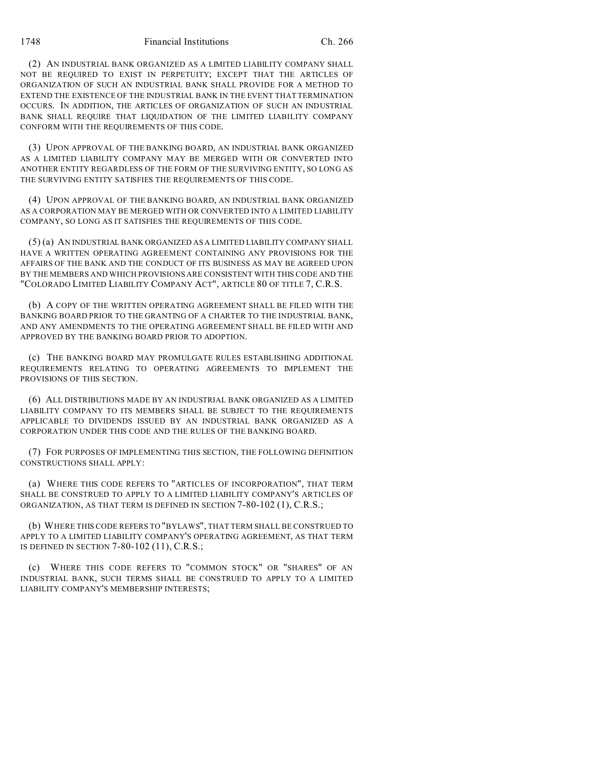1748 Financial Institutions Ch. 266

(2) AN INDUSTRIAL BANK ORGANIZED AS A LIMITED LIABILITY COMPANY SHALL NOT BE REQUIRED TO EXIST IN PERPETUITY; EXCEPT THAT THE ARTICLES OF ORGANIZATION OF SUCH AN INDUSTRIAL BANK SHALL PROVIDE FOR A METHOD TO EXTEND THE EXISTENCE OF THE INDUSTRIAL BANK IN THE EVENT THAT TERMINATION OCCURS. IN ADDITION, THE ARTICLES OF ORGANIZATION OF SUCH AN INDUSTRIAL BANK SHALL REQUIRE THAT LIQUIDATION OF THE LIMITED LIABILITY COMPANY CONFORM WITH THE REQUIREMENTS OF THIS CODE.

(3) UPON APPROVAL OF THE BANKING BOARD, AN INDUSTRIAL BANK ORGANIZED AS A LIMITED LIABILITY COMPANY MAY BE MERGED WITH OR CONVERTED INTO ANOTHER ENTITY REGARDLESS OF THE FORM OF THE SURVIVING ENTITY, SO LONG AS THE SURVIVING ENTITY SATISFIES THE REQUIREMENTS OF THIS CODE.

(4) UPON APPROVAL OF THE BANKING BOARD, AN INDUSTRIAL BANK ORGANIZED AS A CORPORATION MAY BE MERGED WITH OR CONVERTED INTO A LIMITED LIABILITY COMPANY, SO LONG AS IT SATISFIES THE REQUIREMENTS OF THIS CODE.

(5) (a) AN INDUSTRIAL BANK ORGANIZED AS A LIMITED LIABILITY COMPANY SHALL HAVE A WRITTEN OPERATING AGREEMENT CONTAINING ANY PROVISIONS FOR THE AFFAIRS OF THE BANK AND THE CONDUCT OF ITS BUSINESS AS MAY BE AGREED UPON BY THE MEMBERS AND WHICH PROVISIONS ARE CONSISTENT WITH THIS CODE AND THE "COLORADO LIMITED LIABILITY COMPANY ACT", ARTICLE 80 OF TITLE 7, C.R.S.

(b) A COPY OF THE WRITTEN OPERATING AGREEMENT SHALL BE FILED WITH THE BANKING BOARD PRIOR TO THE GRANTING OF A CHARTER TO THE INDUSTRIAL BANK, AND ANY AMENDMENTS TO THE OPERATING AGREEMENT SHALL BE FILED WITH AND APPROVED BY THE BANKING BOARD PRIOR TO ADOPTION.

(c) THE BANKING BOARD MAY PROMULGATE RULES ESTABLISHING ADDITIONAL REQUIREMENTS RELATING TO OPERATING AGREEMENTS TO IMPLEMENT THE PROVISIONS OF THIS SECTION.

(6) ALL DISTRIBUTIONS MADE BY AN INDUSTRIAL BANK ORGANIZED AS A LIMITED LIABILITY COMPANY TO ITS MEMBERS SHALL BE SUBJECT TO THE REQUIREMENTS APPLICABLE TO DIVIDENDS ISSUED BY AN INDUSTRIAL BANK ORGANIZED AS A CORPORATION UNDER THIS CODE AND THE RULES OF THE BANKING BOARD.

(7) FOR PURPOSES OF IMPLEMENTING THIS SECTION, THE FOLLOWING DEFINITION CONSTRUCTIONS SHALL APPLY:

(a) WHERE THIS CODE REFERS TO "ARTICLES OF INCORPORATION", THAT TERM SHALL BE CONSTRUED TO APPLY TO A LIMITED LIABILITY COMPANY'S ARTICLES OF ORGANIZATION, AS THAT TERM IS DEFINED IN SECTION 7-80-102 (1), C.R.S.;

(b) WHERE THIS CODE REFERS TO "BYLAWS", THAT TERM SHALL BE CONSTRUED TO APPLY TO A LIMITED LIABILITY COMPANY'S OPERATING AGREEMENT, AS THAT TERM IS DEFINED IN SECTION 7-80-102 (11), C.R.S.;

(c) WHERE THIS CODE REFERS TO "COMMON STOCK" OR "SHARES" OF AN INDUSTRIAL BANK, SUCH TERMS SHALL BE CONSTRUED TO APPLY TO A LIMITED LIABILITY COMPANY'S MEMBERSHIP INTERESTS;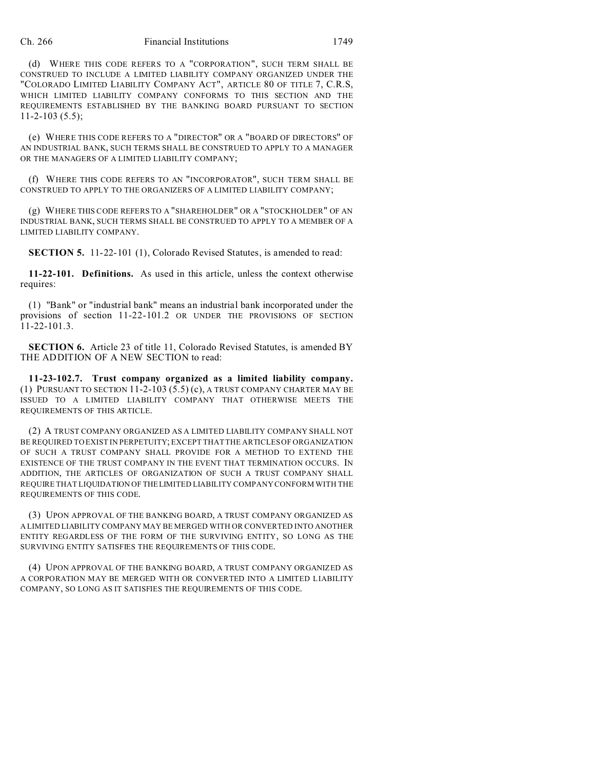## Ch. 266 Financial Institutions 1749

(d) WHERE THIS CODE REFERS TO A "CORPORATION", SUCH TERM SHALL BE CONSTRUED TO INCLUDE A LIMITED LIABILITY COMPANY ORGANIZED UNDER THE "COLORADO LIMITED LIABILITY COMPANY ACT", ARTICLE 80 OF TITLE 7, C.R.S, WHICH LIMITED LIABILITY COMPANY CONFORMS TO THIS SECTION AND THE REQUIREMENTS ESTABLISHED BY THE BANKING BOARD PURSUANT TO SECTION  $11-2-103(5.5);$ 

(e) WHERE THIS CODE REFERS TO A "DIRECTOR" OR A "BOARD OF DIRECTORS" OF AN INDUSTRIAL BANK, SUCH TERMS SHALL BE CONSTRUED TO APPLY TO A MANAGER OR THE MANAGERS OF A LIMITED LIABILITY COMPANY;

(f) WHERE THIS CODE REFERS TO AN "INCORPORATOR", SUCH TERM SHALL BE CONSTRUED TO APPLY TO THE ORGANIZERS OF A LIMITED LIABILITY COMPANY;

(g) WHERE THIS CODE REFERS TO A "SHAREHOLDER" OR A "STOCKHOLDER" OF AN INDUSTRIAL BANK, SUCH TERMS SHALL BE CONSTRUED TO APPLY TO A MEMBER OF A LIMITED LIABILITY COMPANY.

**SECTION 5.** 11-22-101 (1), Colorado Revised Statutes, is amended to read:

**11-22-101. Definitions.** As used in this article, unless the context otherwise requires:

(1) "Bank" or "industrial bank" means an industrial bank incorporated under the provisions of section 11-22-101.2 OR UNDER THE PROVISIONS OF SECTION 11-22-101.3.

**SECTION 6.** Article 23 of title 11, Colorado Revised Statutes, is amended BY THE ADDITION OF A NEW SECTION to read:

**11-23-102.7. Trust company organized as a limited liability company.** (1) PURSUANT TO SECTION 11-2-103 (5.5) (c), A TRUST COMPANY CHARTER MAY BE ISSUED TO A LIMITED LIABILITY COMPANY THAT OTHERWISE MEETS THE REQUIREMENTS OF THIS ARTICLE.

(2) A TRUST COMPANY ORGANIZED AS A LIMITED LIABILITY COMPANY SHALL NOT BE REQUIRED TO EXIST IN PERPETUITY; EXCEPT THAT THE ARTICLES OF ORGANIZATION OF SUCH A TRUST COMPANY SHALL PROVIDE FOR A METHOD TO EXTEND THE EXISTENCE OF THE TRUST COMPANY IN THE EVENT THAT TERMINATION OCCURS. IN ADDITION, THE ARTICLES OF ORGANIZATION OF SUCH A TRUST COMPANY SHALL REQUIRE THAT LIQUIDATION OF THELIMITED LIABILITY COMPANY CONFORM WITH THE REQUIREMENTS OF THIS CODE.

(3) UPON APPROVAL OF THE BANKING BOARD, A TRUST COMPANY ORGANIZED AS A LIMITED LIABILITY COMPANY MAY BE MERGED WITH OR CONVERTED INTO ANOTHER ENTITY REGARDLESS OF THE FORM OF THE SURVIVING ENTITY, SO LONG AS THE SURVIVING ENTITY SATISFIES THE REQUIREMENTS OF THIS CODE.

(4) UPON APPROVAL OF THE BANKING BOARD, A TRUST COMPANY ORGANIZED AS A CORPORATION MAY BE MERGED WITH OR CONVERTED INTO A LIMITED LIABILITY COMPANY, SO LONG AS IT SATISFIES THE REQUIREMENTS OF THIS CODE.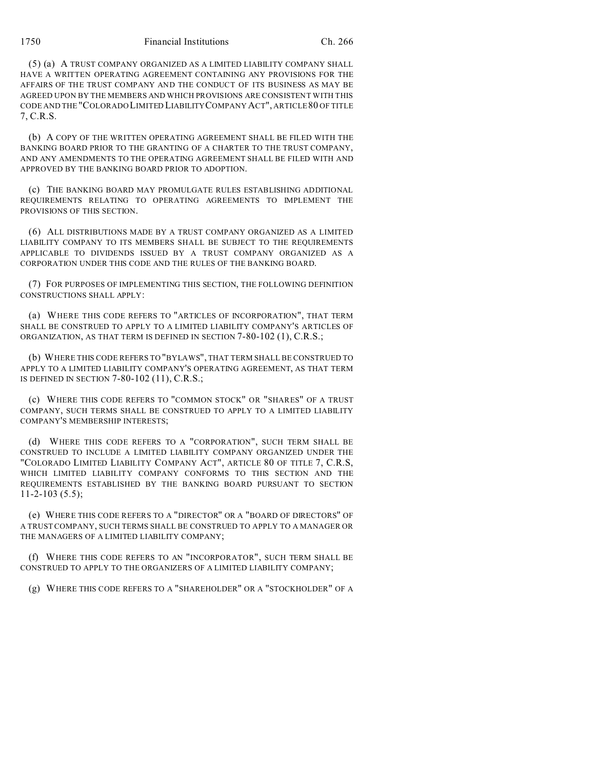(5) (a) A TRUST COMPANY ORGANIZED AS A LIMITED LIABILITY COMPANY SHALL HAVE A WRITTEN OPERATING AGREEMENT CONTAINING ANY PROVISIONS FOR THE AFFAIRS OF THE TRUST COMPANY AND THE CONDUCT OF ITS BUSINESS AS MAY BE AGREED UPON BY THE MEMBERS AND WHICH PROVISIONS ARE CONSISTENT WITH THIS CODE AND THE "COLORADO LIMITED LIABILITYCOMPANY ACT", ARTICLE 80 OF TITLE 7, C.R.S.

(b) A COPY OF THE WRITTEN OPERATING AGREEMENT SHALL BE FILED WITH THE BANKING BOARD PRIOR TO THE GRANTING OF A CHARTER TO THE TRUST COMPANY, AND ANY AMENDMENTS TO THE OPERATING AGREEMENT SHALL BE FILED WITH AND APPROVED BY THE BANKING BOARD PRIOR TO ADOPTION.

(c) THE BANKING BOARD MAY PROMULGATE RULES ESTABLISHING ADDITIONAL REQUIREMENTS RELATING TO OPERATING AGREEMENTS TO IMPLEMENT THE PROVISIONS OF THIS SECTION.

(6) ALL DISTRIBUTIONS MADE BY A TRUST COMPANY ORGANIZED AS A LIMITED LIABILITY COMPANY TO ITS MEMBERS SHALL BE SUBJECT TO THE REQUIREMENTS APPLICABLE TO DIVIDENDS ISSUED BY A TRUST COMPANY ORGANIZED AS A CORPORATION UNDER THIS CODE AND THE RULES OF THE BANKING BOARD.

(7) FOR PURPOSES OF IMPLEMENTING THIS SECTION, THE FOLLOWING DEFINITION CONSTRUCTIONS SHALL APPLY:

(a) WHERE THIS CODE REFERS TO "ARTICLES OF INCORPORATION", THAT TERM SHALL BE CONSTRUED TO APPLY TO A LIMITED LIABILITY COMPANY'S ARTICLES OF ORGANIZATION, AS THAT TERM IS DEFINED IN SECTION 7-80-102 (1), C.R.S.;

(b) WHERE THIS CODE REFERS TO "BYLAWS", THAT TERM SHALL BE CONSTRUED TO APPLY TO A LIMITED LIABILITY COMPANY'S OPERATING AGREEMENT, AS THAT TERM IS DEFINED IN SECTION 7-80-102 (11), C.R.S.;

(c) WHERE THIS CODE REFERS TO "COMMON STOCK" OR "SHARES" OF A TRUST COMPANY, SUCH TERMS SHALL BE CONSTRUED TO APPLY TO A LIMITED LIABILITY COMPANY'S MEMBERSHIP INTERESTS;

(d) WHERE THIS CODE REFERS TO A "CORPORATION", SUCH TERM SHALL BE CONSTRUED TO INCLUDE A LIMITED LIABILITY COMPANY ORGANIZED UNDER THE "COLORADO LIMITED LIABILITY COMPANY ACT", ARTICLE 80 OF TITLE 7, C.R.S, WHICH LIMITED LIABILITY COMPANY CONFORMS TO THIS SECTION AND THE REQUIREMENTS ESTABLISHED BY THE BANKING BOARD PURSUANT TO SECTION  $11-2-103(5.5);$ 

(e) WHERE THIS CODE REFERS TO A "DIRECTOR" OR A "BOARD OF DIRECTORS" OF A TRUST COMPANY, SUCH TERMS SHALL BE CONSTRUED TO APPLY TO A MANAGER OR THE MANAGERS OF A LIMITED LIABILITY COMPANY;

(f) WHERE THIS CODE REFERS TO AN "INCORPORATOR", SUCH TERM SHALL BE CONSTRUED TO APPLY TO THE ORGANIZERS OF A LIMITED LIABILITY COMPANY;

(g) WHERE THIS CODE REFERS TO A "SHAREHOLDER" OR A "STOCKHOLDER" OF A